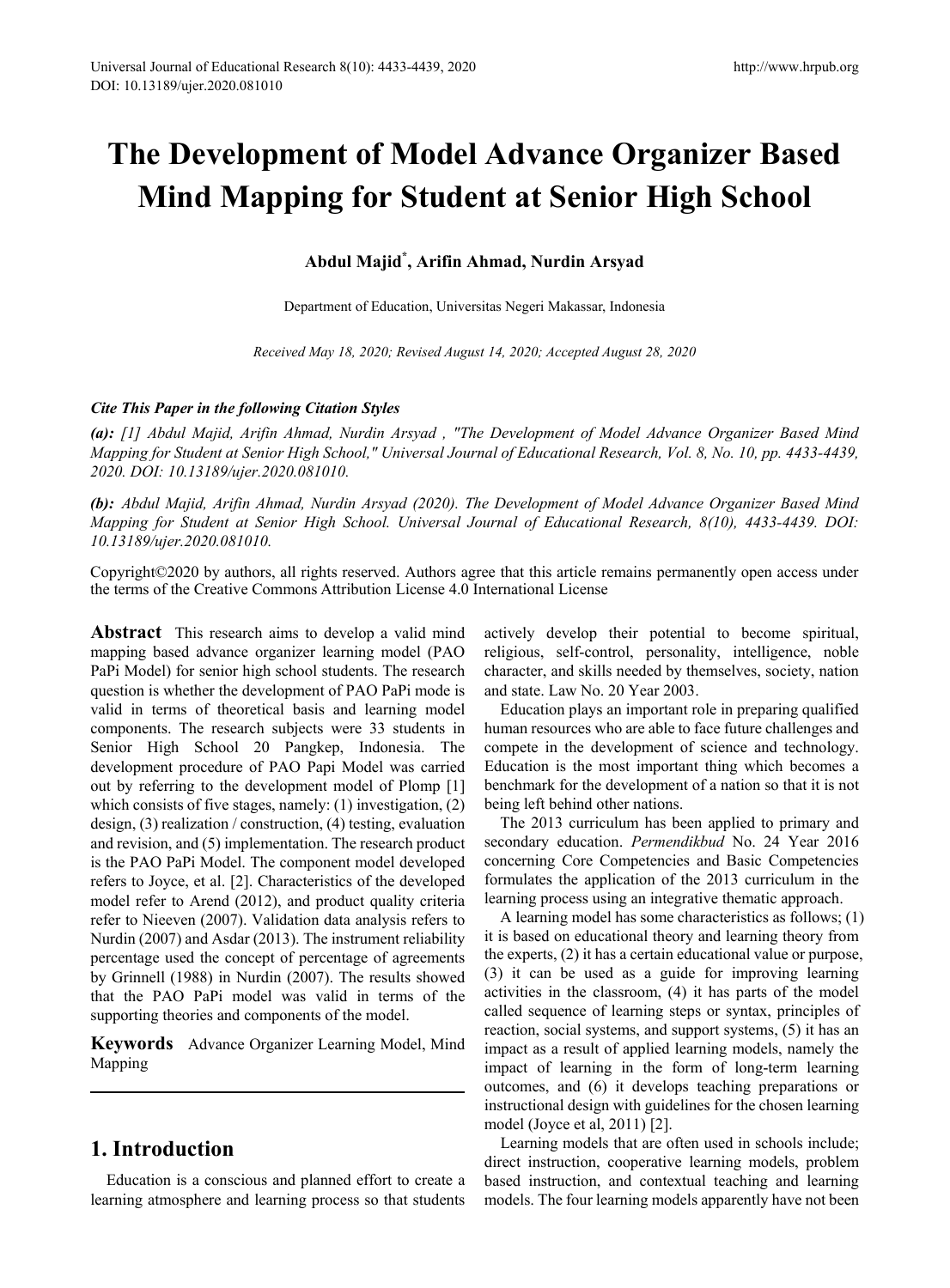# **The Development of Model Advance Organizer Based Mind Mapping for Student at Senior High School**

## **Abdul Majid\* , Arifin Ahmad, Nurdin Arsyad**

Department of Education, Universitas Negeri Makassar, Indonesia

*Received May 18, 2020; Revised August 14, 2020; Accepted August 28, 2020*

#### *Cite This Paper in the following Citation Styles*

*(a): [1] Abdul Majid, Arifin Ahmad, Nurdin Arsyad , "The Development of Model Advance Organizer Based Mind Mapping for Student at Senior High School," Universal Journal of Educational Research, Vol. 8, No. 10, pp. 4433-4439, 2020. DOI: 10.13189/ujer.2020.081010.* 

*(b): Abdul Majid, Arifin Ahmad, Nurdin Arsyad (2020). The Development of Model Advance Organizer Based Mind Mapping for Student at Senior High School. Universal Journal of Educational Research, 8(10), 4433-4439. DOI: 10.13189/ujer.2020.081010.* 

Copyright©2020 by authors, all rights reserved. Authors agree that this article remains permanently open access under the terms of the Creative Commons Attribution License 4.0 International License

**Abstract** This research aims to develop a valid mind mapping based advance organizer learning model (PAO PaPi Model) for senior high school students. The research question is whether the development of PAO PaPi mode is valid in terms of theoretical basis and learning model components. The research subjects were 33 students in Senior High School 20 Pangkep, Indonesia. The development procedure of PAO Papi Model was carried out by referring to the development model of Plomp [1] which consists of five stages, namely: (1) investigation, (2) design, (3) realization / construction, (4) testing, evaluation and revision, and (5) implementation. The research product is the PAO PaPi Model. The component model developed refers to Joyce, et al. [2]. Characteristics of the developed model refer to Arend (2012), and product quality criteria refer to Nieeven (2007). Validation data analysis refers to Nurdin (2007) and Asdar (2013). The instrument reliability percentage used the concept of percentage of agreements by Grinnell (1988) in Nurdin (2007). The results showed that the PAO PaPi model was valid in terms of the supporting theories and components of the model.

**Keywords** Advance Organizer Learning Model, Mind Mapping

## **1. Introduction**

Education is a conscious and planned effort to create a learning atmosphere and learning process so that students actively develop their potential to become spiritual, religious, self-control, personality, intelligence, noble character, and skills needed by themselves, society, nation and state. Law No. 20 Year 2003.

Education plays an important role in preparing qualified human resources who are able to face future challenges and compete in the development of science and technology. Education is the most important thing which becomes a benchmark for the development of a nation so that it is not being left behind other nations.

The 2013 curriculum has been applied to primary and secondary education. *Permendikbud* No. 24 Year 2016 concerning Core Competencies and Basic Competencies formulates the application of the 2013 curriculum in the learning process using an integrative thematic approach.

A learning model has some characteristics as follows; (1) it is based on educational theory and learning theory from the experts, (2) it has a certain educational value or purpose, (3) it can be used as a guide for improving learning activities in the classroom, (4) it has parts of the model called sequence of learning steps or syntax, principles of reaction, social systems, and support systems, (5) it has an impact as a result of applied learning models, namely the impact of learning in the form of long-term learning outcomes, and (6) it develops teaching preparations or instructional design with guidelines for the chosen learning model (Joyce et al, 2011) [2].

Learning models that are often used in schools include; direct instruction, cooperative learning models, problem based instruction, and contextual teaching and learning models. The four learning models apparently have not been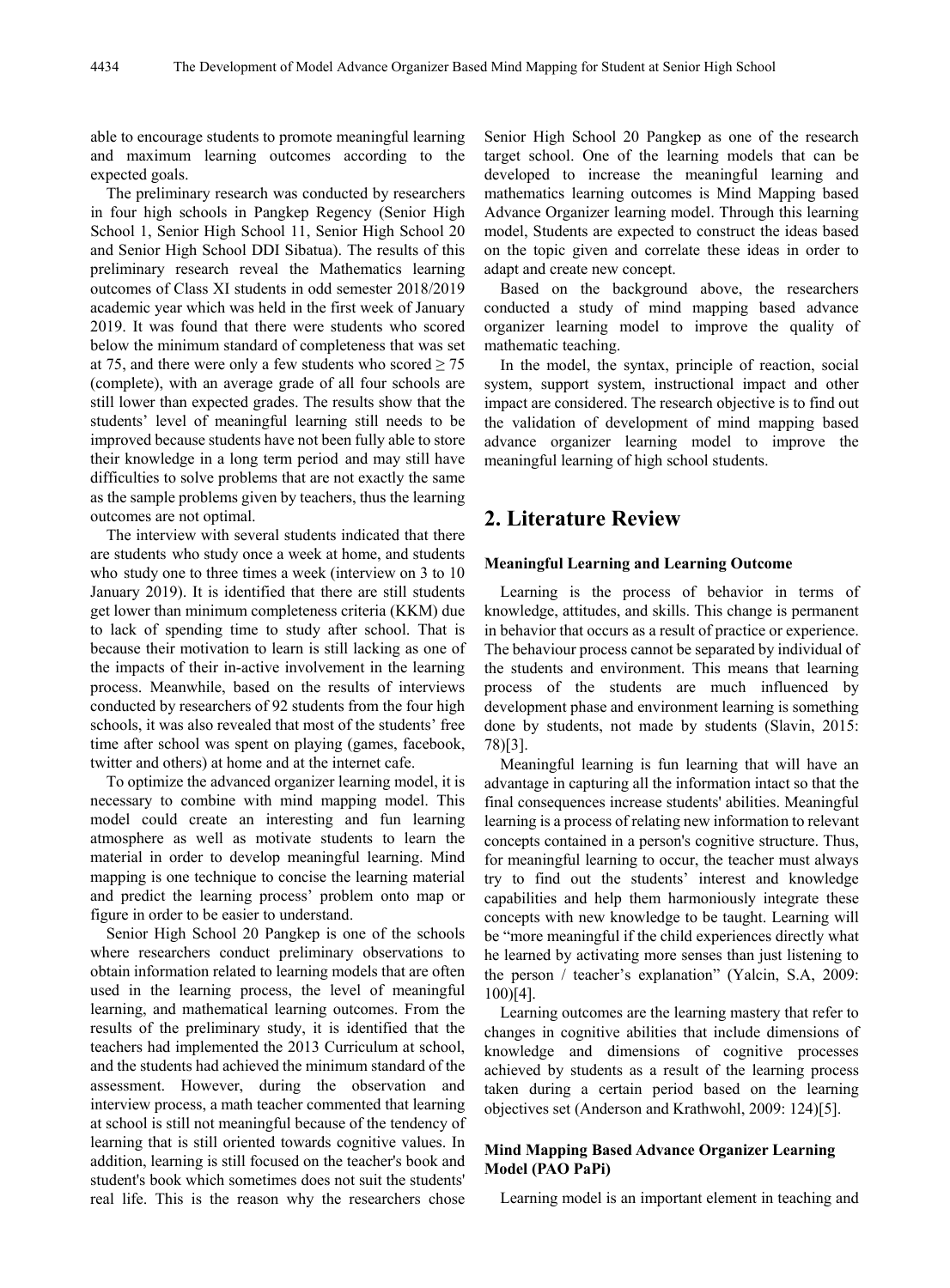able to encourage students to promote meaningful learning and maximum learning outcomes according to the expected goals.

The preliminary research was conducted by researchers in four high schools in Pangkep Regency (Senior High School 1, Senior High School 11, Senior High School 20 and Senior High School DDI Sibatua). The results of this preliminary research reveal the Mathematics learning outcomes of Class XI students in odd semester 2018/2019 academic year which was held in the first week of January 2019. It was found that there were students who scored below the minimum standard of completeness that was set at 75, and there were only a few students who scored  $\geq$  75 (complete), with an average grade of all four schools are still lower than expected grades. The results show that the students' level of meaningful learning still needs to be improved because students have not been fully able to store their knowledge in a long term period and may still have difficulties to solve problems that are not exactly the same as the sample problems given by teachers, thus the learning outcomes are not optimal.

The interview with several students indicated that there are students who study once a week at home, and students who study one to three times a week (interview on 3 to 10 January 2019). It is identified that there are still students get lower than minimum completeness criteria (KKM) due to lack of spending time to study after school. That is because their motivation to learn is still lacking as one of the impacts of their in-active involvement in the learning process. Meanwhile, based on the results of interviews conducted by researchers of 92 students from the four high schools, it was also revealed that most of the students' free time after school was spent on playing (games, facebook, twitter and others) at home and at the internet cafe.

To optimize the advanced organizer learning model, it is necessary to combine with mind mapping model. This model could create an interesting and fun learning atmosphere as well as motivate students to learn the material in order to develop meaningful learning. Mind mapping is one technique to concise the learning material and predict the learning process' problem onto map or figure in order to be easier to understand.

Senior High School 20 Pangkep is one of the schools where researchers conduct preliminary observations to obtain information related to learning models that are often used in the learning process, the level of meaningful learning, and mathematical learning outcomes. From the results of the preliminary study, it is identified that the teachers had implemented the 2013 Curriculum at school, and the students had achieved the minimum standard of the assessment. However, during the observation and interview process, a math teacher commented that learning at school is still not meaningful because of the tendency of learning that is still oriented towards cognitive values. In addition, learning is still focused on the teacher's book and student's book which sometimes does not suit the students' real life. This is the reason why the researchers chose

Senior High School 20 Pangkep as one of the research target school. One of the learning models that can be developed to increase the meaningful learning and mathematics learning outcomes is Mind Mapping based Advance Organizer learning model. Through this learning model, Students are expected to construct the ideas based on the topic given and correlate these ideas in order to adapt and create new concept.

Based on the background above, the researchers conducted a study of mind mapping based advance organizer learning model to improve the quality of mathematic teaching.

In the model, the syntax, principle of reaction, social system, support system, instructional impact and other impact are considered. The research objective is to find out the validation of development of mind mapping based advance organizer learning model to improve the meaningful learning of high school students.

# **2. Literature Review**

#### **Meaningful Learning and Learning Outcome**

Learning is the process of behavior in terms of knowledge, attitudes, and skills. This change is permanent in behavior that occurs as a result of practice or experience. The behaviour process cannot be separated by individual of the students and environment. This means that learning process of the students are much influenced by development phase and environment learning is something done by students, not made by students (Slavin, 2015: 78)[3].

Meaningful learning is fun learning that will have an advantage in capturing all the information intact so that the final consequences increase students' abilities. Meaningful learning is a process of relating new information to relevant concepts contained in a person's cognitive structure. Thus, for meaningful learning to occur, the teacher must always try to find out the students' interest and knowledge capabilities and help them harmoniously integrate these concepts with new knowledge to be taught. Learning will be "more meaningful if the child experiences directly what he learned by activating more senses than just listening to the person / teacher's explanation" (Yalcin, S.A, 2009: 100)[4].

Learning outcomes are the learning mastery that refer to changes in cognitive abilities that include dimensions of knowledge and dimensions of cognitive processes achieved by students as a result of the learning process taken during a certain period based on the learning objectives set (Anderson and Krathwohl, 2009: 124)[5].

#### **Mind Mapping Based Advance Organizer Learning Model (PAO PaPi)**

Learning model is an important element in teaching and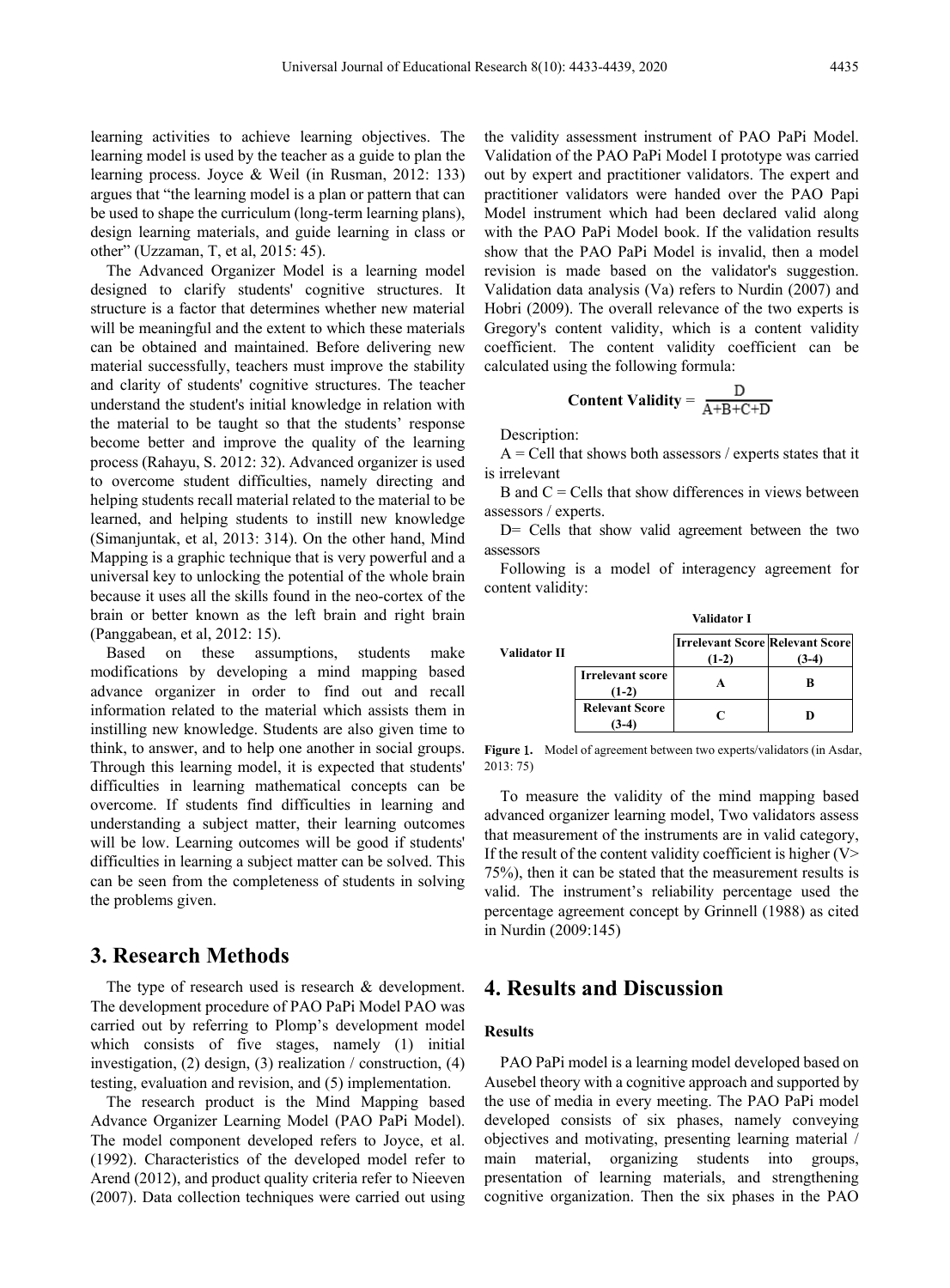learning activities to achieve learning objectives. The learning model is used by the teacher as a guide to plan the learning process. Joyce & Weil (in Rusman, 2012: 133) argues that "the learning model is a plan or pattern that can be used to shape the curriculum (long-term learning plans), design learning materials, and guide learning in class or other" (Uzzaman, T, et al, 2015: 45).

The Advanced Organizer Model is a learning model designed to clarify students' cognitive structures. It structure is a factor that determines whether new material will be meaningful and the extent to which these materials can be obtained and maintained. Before delivering new material successfully, teachers must improve the stability and clarity of students' cognitive structures. The teacher understand the student's initial knowledge in relation with the material to be taught so that the students' response become better and improve the quality of the learning process (Rahayu, S. 2012: 32). Advanced organizer is used to overcome student difficulties, namely directing and helping students recall material related to the material to be learned, and helping students to instill new knowledge (Simanjuntak, et al, 2013: 314). On the other hand, Mind Mapping is a graphic technique that is very powerful and a universal key to unlocking the potential of the whole brain because it uses all the skills found in the neo-cortex of the brain or better known as the left brain and right brain (Panggabean, et al, 2012: 15).

Based on these assumptions, students make modifications by developing a mind mapping based advance organizer in order to find out and recall information related to the material which assists them in instilling new knowledge. Students are also given time to think, to answer, and to help one another in social groups. Through this learning model, it is expected that students' difficulties in learning mathematical concepts can be overcome. If students find difficulties in learning and understanding a subject matter, their learning outcomes will be low. Learning outcomes will be good if students' difficulties in learning a subject matter can be solved. This can be seen from the completeness of students in solving the problems given.

## **3. Research Methods**

The type of research used is research & development. The development procedure of PAO PaPi Model PAO was carried out by referring to Plomp's development model which consists of five stages, namely (1) initial investigation, (2) design, (3) realization / construction, (4) testing, evaluation and revision, and (5) implementation.

The research product is the Mind Mapping based Advance Organizer Learning Model (PAO PaPi Model). The model component developed refers to Joyce, et al. (1992). Characteristics of the developed model refer to Arend (2012), and product quality criteria refer to Nieeven (2007). Data collection techniques were carried out using the validity assessment instrument of PAO PaPi Model. Validation of the PAO PaPi Model I prototype was carried out by expert and practitioner validators. The expert and practitioner validators were handed over the PAO Papi Model instrument which had been declared valid along with the PAO PaPi Model book. If the validation results show that the PAO PaPi Model is invalid, then a model revision is made based on the validator's suggestion. Validation data analysis (Va) refers to Nurdin (2007) and Hobri (2009). The overall relevance of the two experts is Gregory's content validity, which is a content validity coefficient. The content validity coefficient can be calculated using the following formula:

$$
Content Validity = \frac{D}{A+B+C+D}
$$

Description:

 $A =$  Cell that shows both assessors / experts states that it is irrelevant

B and  $C =$  Cells that show differences in views between assessors / experts.

D= Cells that show valid agreement between the two assessors

Following is a model of interagency agreement for content validity:

|                     | Validator I                        |                                                   |  |  |
|---------------------|------------------------------------|---------------------------------------------------|--|--|
| <b>Validator II</b> |                                    | <b>Irrelevant Score Relevant Score</b><br>$(1-2)$ |  |  |
|                     | <b>Irrelevant score</b><br>$(1-2)$ |                                                   |  |  |
|                     | <b>Relevant Score</b>              | C                                                 |  |  |

**Figure** 1**.** Model of agreement between two experts/validators (in Asdar, 2013: 75)

To measure the validity of the mind mapping based advanced organizer learning model, Two validators assess that measurement of the instruments are in valid category, If the result of the content validity coefficient is higher  $(V>$ 75%), then it can be stated that the measurement results is valid. The instrument's reliability percentage used the percentage agreement concept by Grinnell (1988) as cited in Nurdin (2009:145)

## **4. Results and Discussion**

#### **Results**

PAO PaPi model is a learning model developed based on Ausebel theory with a cognitive approach and supported by the use of media in every meeting. The PAO PaPi model developed consists of six phases, namely conveying objectives and motivating, presenting learning material / main material, organizing students into groups, presentation of learning materials, and strengthening cognitive organization. Then the six phases in the PAO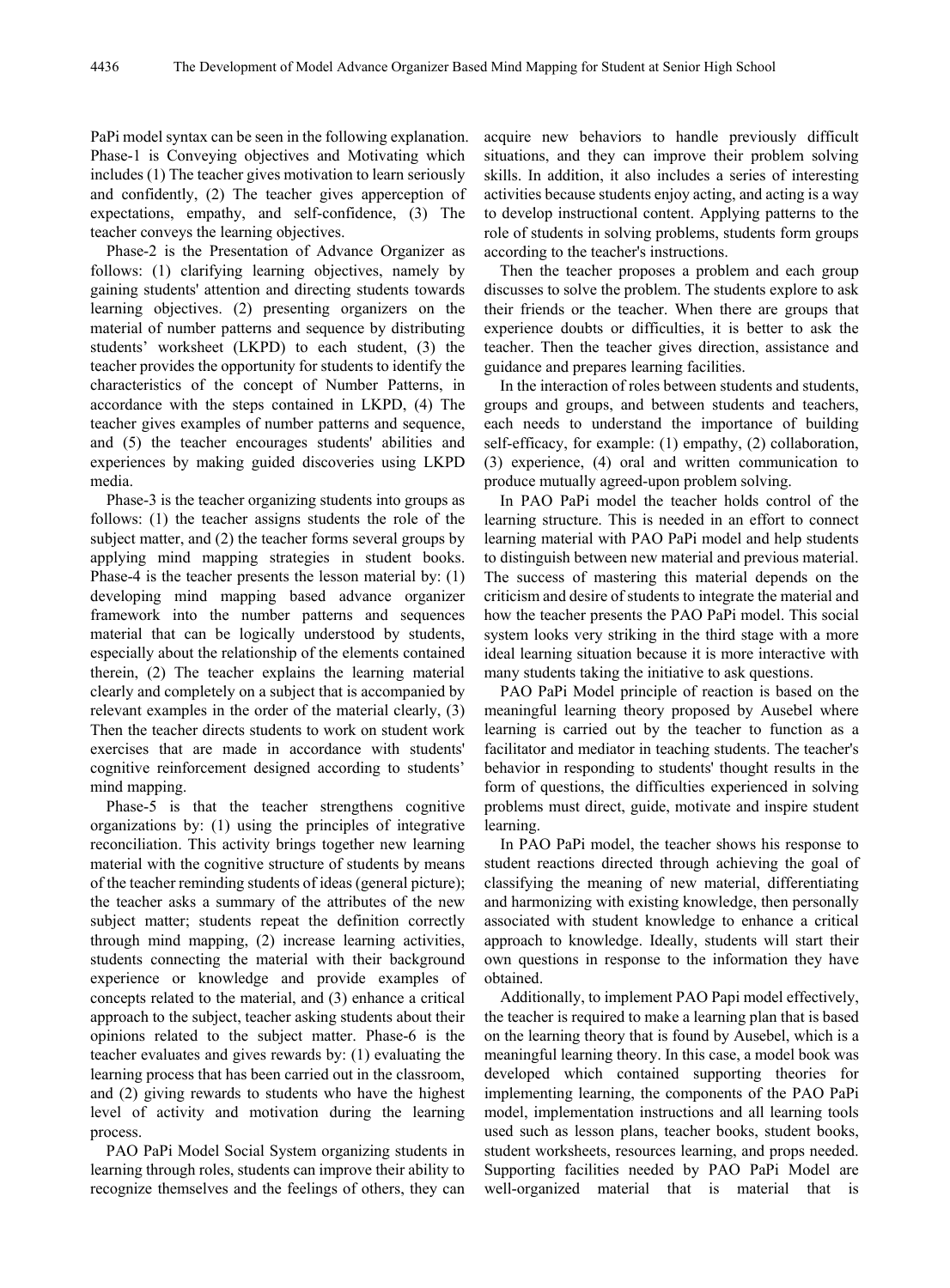PaPi model syntax can be seen in the following explanation. Phase-1 is Conveying objectives and Motivating which includes (1) The teacher gives motivation to learn seriously and confidently, (2) The teacher gives apperception of expectations, empathy, and self-confidence, (3) The teacher conveys the learning objectives.

Phase-2 is the Presentation of Advance Organizer as follows: (1) clarifying learning objectives, namely by gaining students' attention and directing students towards learning objectives. (2) presenting organizers on the material of number patterns and sequence by distributing students' worksheet (LKPD) to each student, (3) the teacher provides the opportunity for students to identify the characteristics of the concept of Number Patterns, in accordance with the steps contained in LKPD, (4) The teacher gives examples of number patterns and sequence, and (5) the teacher encourages students' abilities and experiences by making guided discoveries using LKPD media.

Phase-3 is the teacher organizing students into groups as follows: (1) the teacher assigns students the role of the subject matter, and (2) the teacher forms several groups by applying mind mapping strategies in student books. Phase-4 is the teacher presents the lesson material by: (1) developing mind mapping based advance organizer framework into the number patterns and sequences material that can be logically understood by students, especially about the relationship of the elements contained therein, (2) The teacher explains the learning material clearly and completely on a subject that is accompanied by relevant examples in the order of the material clearly, (3) Then the teacher directs students to work on student work exercises that are made in accordance with students' cognitive reinforcement designed according to students' mind mapping.

Phase-5 is that the teacher strengthens cognitive organizations by: (1) using the principles of integrative reconciliation. This activity brings together new learning material with the cognitive structure of students by means of the teacher reminding students of ideas (general picture); the teacher asks a summary of the attributes of the new subject matter; students repeat the definition correctly through mind mapping, (2) increase learning activities, students connecting the material with their background experience or knowledge and provide examples of concepts related to the material, and (3) enhance a critical approach to the subject, teacher asking students about their opinions related to the subject matter. Phase-6 is the teacher evaluates and gives rewards by: (1) evaluating the learning process that has been carried out in the classroom, and (2) giving rewards to students who have the highest level of activity and motivation during the learning process.

PAO PaPi Model Social System organizing students in learning through roles, students can improve their ability to recognize themselves and the feelings of others, they can acquire new behaviors to handle previously difficult situations, and they can improve their problem solving skills. In addition, it also includes a series of interesting activities because students enjoy acting, and acting is a way to develop instructional content. Applying patterns to the role of students in solving problems, students form groups according to the teacher's instructions.

Then the teacher proposes a problem and each group discusses to solve the problem. The students explore to ask their friends or the teacher. When there are groups that experience doubts or difficulties, it is better to ask the teacher. Then the teacher gives direction, assistance and guidance and prepares learning facilities.

In the interaction of roles between students and students, groups and groups, and between students and teachers, each needs to understand the importance of building self-efficacy, for example: (1) empathy, (2) collaboration, (3) experience, (4) oral and written communication to produce mutually agreed-upon problem solving.

In PAO PaPi model the teacher holds control of the learning structure. This is needed in an effort to connect learning material with PAO PaPi model and help students to distinguish between new material and previous material. The success of mastering this material depends on the criticism and desire of students to integrate the material and how the teacher presents the PAO PaPi model. This social system looks very striking in the third stage with a more ideal learning situation because it is more interactive with many students taking the initiative to ask questions.

PAO PaPi Model principle of reaction is based on the meaningful learning theory proposed by Ausebel where learning is carried out by the teacher to function as a facilitator and mediator in teaching students. The teacher's behavior in responding to students' thought results in the form of questions, the difficulties experienced in solving problems must direct, guide, motivate and inspire student learning.

In PAO PaPi model, the teacher shows his response to student reactions directed through achieving the goal of classifying the meaning of new material, differentiating and harmonizing with existing knowledge, then personally associated with student knowledge to enhance a critical approach to knowledge. Ideally, students will start their own questions in response to the information they have obtained.

Additionally, to implement PAO Papi model effectively, the teacher is required to make a learning plan that is based on the learning theory that is found by Ausebel, which is a meaningful learning theory. In this case, a model book was developed which contained supporting theories for implementing learning, the components of the PAO PaPi model, implementation instructions and all learning tools used such as lesson plans, teacher books, student books, student worksheets, resources learning, and props needed. Supporting facilities needed by PAO PaPi Model are well-organized material that is material that is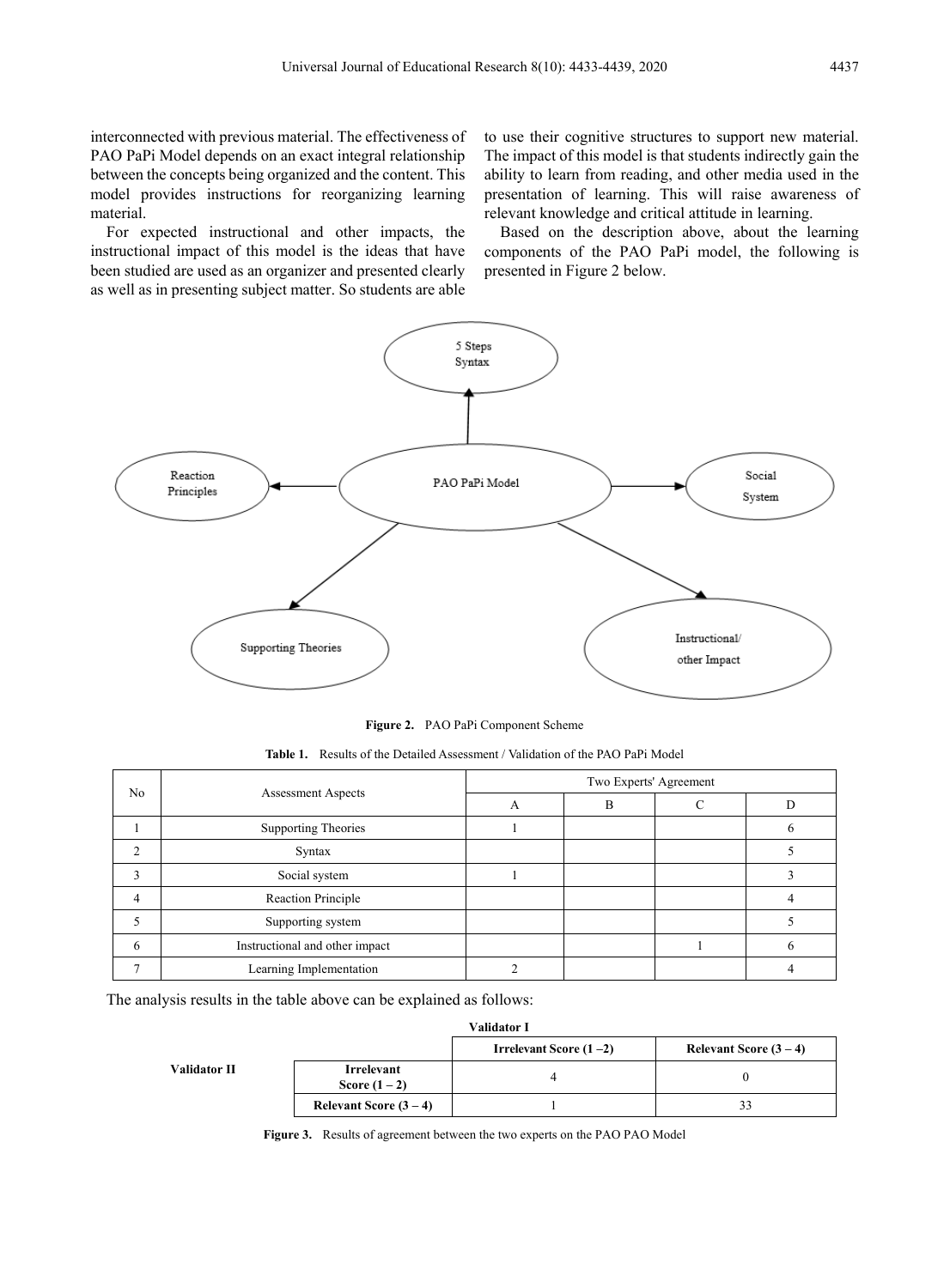interconnected with previous material. The effectiveness of PAO PaPi Model depends on an exact integral relationship between the concepts being organized and the content. This model provides instructions for reorganizing learning material.

For expected instructional and other impacts, the instructional impact of this model is the ideas that have been studied are used as an organizer and presented clearly as well as in presenting subject matter. So students are able to use their cognitive structures to support new material. The impact of this model is that students indirectly gain the ability to learn from reading, and other media used in the presentation of learning. This will raise awareness of relevant knowledge and critical attitude in learning.

Based on the description above, about the learning components of the PAO PaPi model, the following is presented in Figure 2 below.



**Figure 2.** PAO PaPi Component Scheme

| No |                                | Two Experts' Agreement |   |  |  |
|----|--------------------------------|------------------------|---|--|--|
|    | <b>Assessment Aspects</b>      |                        | в |  |  |
|    | <b>Supporting Theories</b>     |                        |   |  |  |
| ◠  | Syntax                         |                        |   |  |  |
|    | Social system                  |                        |   |  |  |
|    | <b>Reaction Principle</b>      |                        |   |  |  |
|    | Supporting system              |                        |   |  |  |
| 6  | Instructional and other impact |                        |   |  |  |
|    | Learning Implementation        |                        |   |  |  |

**Table 1.** Results of the Detailed Assessment / Validation of the PAO PaPi Model

The analysis results in the table above can be explained as follows:

| Validator I         |                        |                          |                        |  |
|---------------------|------------------------|--------------------------|------------------------|--|
|                     |                        | Irrelevant Score $(1-2)$ | Relevant Score $(3-4)$ |  |
| <b>Validator II</b> | Irrelevant             |                          |                        |  |
|                     | Score $(1-2)$          |                          |                        |  |
|                     | Relevant Score $(3-4)$ |                          | 33                     |  |

**Figure 3.** Results of agreement between the two experts on the PAO PAO Model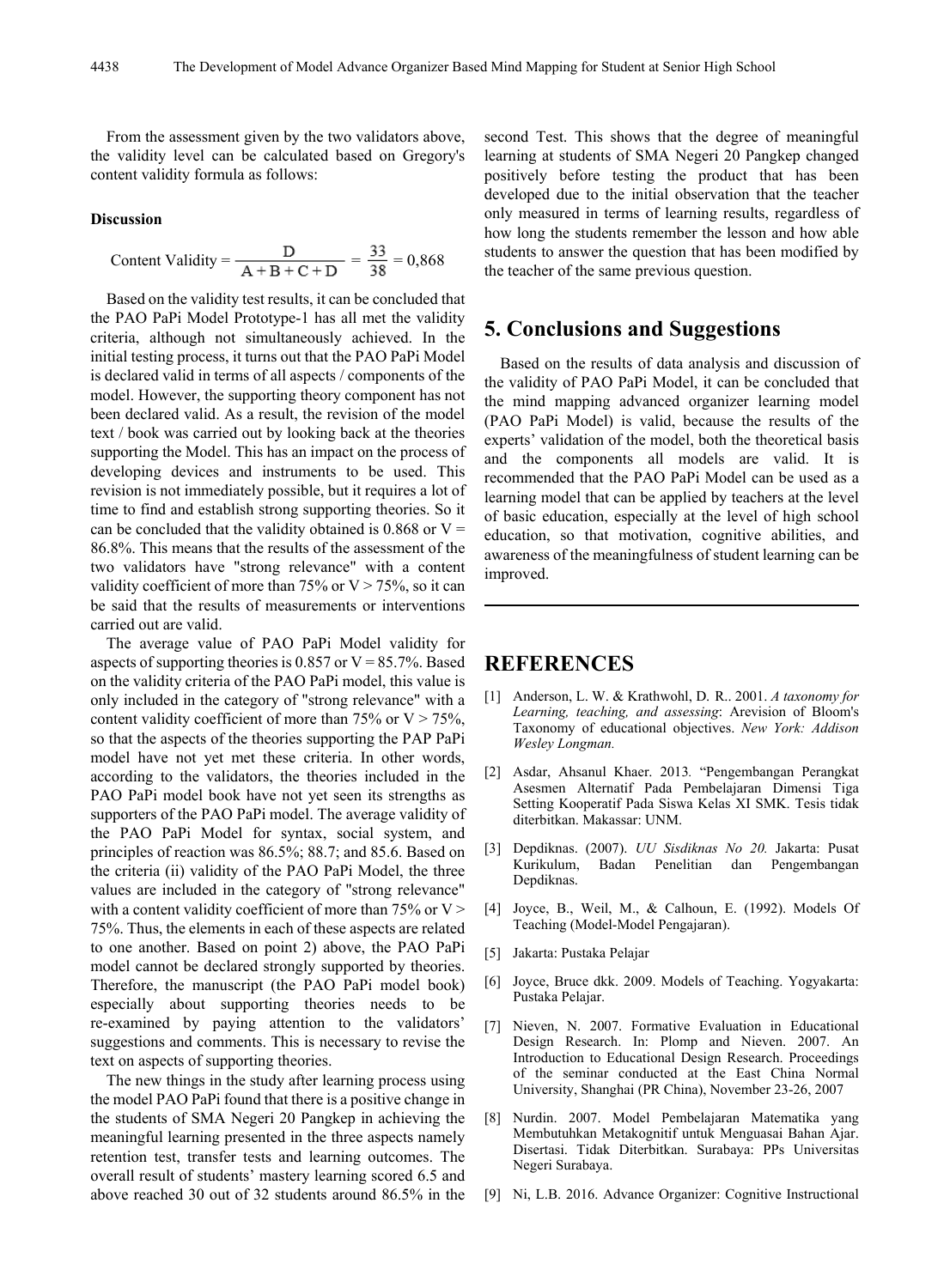From the assessment given by the two validators above, the validity level can be calculated based on Gregory's content validity formula as follows:

#### **Discussion**

Content Validity = 
$$
\frac{D}{A + B + C + D} = \frac{33}{38} = 0,868
$$

Based on the validity test results, it can be concluded that the PAO PaPi Model Prototype-1 has all met the validity criteria, although not simultaneously achieved. In the initial testing process, it turns out that the PAO PaPi Model is declared valid in terms of all aspects / components of the model. However, the supporting theory component has not been declared valid. As a result, the revision of the model text / book was carried out by looking back at the theories supporting the Model. This has an impact on the process of developing devices and instruments to be used. This revision is not immediately possible, but it requires a lot of time to find and establish strong supporting theories. So it can be concluded that the validity obtained is  $0.868$  or V = 86.8%. This means that the results of the assessment of the two validators have "strong relevance" with a content validity coefficient of more than  $75\%$  or  $V > 75\%$ , so it can be said that the results of measurements or interventions carried out are valid.

The average value of PAO PaPi Model validity for aspects of supporting theories is 0.857 or  $V = 85.7\%$ . Based on the validity criteria of the PAO PaPi model, this value is only included in the category of "strong relevance" with a content validity coefficient of more than 75% or  $V > 75%$ , so that the aspects of the theories supporting the PAP PaPi model have not yet met these criteria. In other words, according to the validators, the theories included in the PAO PaPi model book have not yet seen its strengths as supporters of the PAO PaPi model. The average validity of the PAO PaPi Model for syntax, social system, and principles of reaction was 86.5%; 88.7; and 85.6. Based on the criteria (ii) validity of the PAO PaPi Model, the three values are included in the category of "strong relevance" with a content validity coefficient of more than  $75\%$  or V > 75%. Thus, the elements in each of these aspects are related to one another. Based on point 2) above, the PAO PaPi model cannot be declared strongly supported by theories. Therefore, the manuscript (the PAO PaPi model book) especially about supporting theories needs to be re-examined by paying attention to the validators' suggestions and comments. This is necessary to revise the text on aspects of supporting theories.

The new things in the study after learning process using the model PAO PaPi found that there is a positive change in the students of SMA Negeri 20 Pangkep in achieving the meaningful learning presented in the three aspects namely retention test, transfer tests and learning outcomes. The overall result of students' mastery learning scored 6.5 and above reached 30 out of 32 students around 86.5% in the second Test. This shows that the degree of meaningful learning at students of SMA Negeri 20 Pangkep changed positively before testing the product that has been developed due to the initial observation that the teacher only measured in terms of learning results, regardless of how long the students remember the lesson and how able students to answer the question that has been modified by the teacher of the same previous question.

## **5. Conclusions and Suggestions**

Based on the results of data analysis and discussion of the validity of PAO PaPi Model, it can be concluded that the mind mapping advanced organizer learning model (PAO PaPi Model) is valid, because the results of the experts' validation of the model, both the theoretical basis and the components all models are valid. It is recommended that the PAO PaPi Model can be used as a learning model that can be applied by teachers at the level of basic education, especially at the level of high school education, so that motivation, cognitive abilities, and awareness of the meaningfulness of student learning can be improved.

## **REFERENCES**

- [1] Anderson, L. W. & Krathwohl, D. R.. 2001. *A taxonomy for Learning, teaching, and assessing*: Arevision of Bloom's Taxonomy of educational objectives. *New York: Addison Wesley Longman.*
- [2] Asdar, Ahsanul Khaer. 2013*.* "Pengembangan Perangkat Asesmen Alternatif Pada Pembelajaran Dimensi Tiga Setting Kooperatif Pada Siswa Kelas XI SMK. Tesis tidak diterbitkan. Makassar: UNM.
- [3] Depdiknas. (2007). *UU Sisdiknas No 20.* Jakarta: Pusat Badan Penelitian dan Pengembangan Depdiknas.
- [4] Joyce, B., Weil, M., & Calhoun, E. (1992). Models Of Teaching (Model-Model Pengajaran).
- [5] Jakarta: Pustaka Pelajar
- [6] Joyce, Bruce dkk. 2009. Models of Teaching. Yogyakarta: Pustaka Pelajar.
- [7] Nieven, N. 2007. Formative Evaluation in Educational Design Research. In: Plomp and Nieven. 2007. An Introduction to Educational Design Research. Proceedings of the seminar conducted at the East China Normal University, Shanghai (PR China), November 23-26, 2007
- [8] Nurdin. 2007. Model Pembelajaran Matematika yang Membutuhkan Metakognitif untuk Menguasai Bahan Ajar. Disertasi. Tidak Diterbitkan. Surabaya: PPs Universitas Negeri Surabaya.
- [9] Ni, L.B. 2016. Advance Organizer: Cognitive Instructional